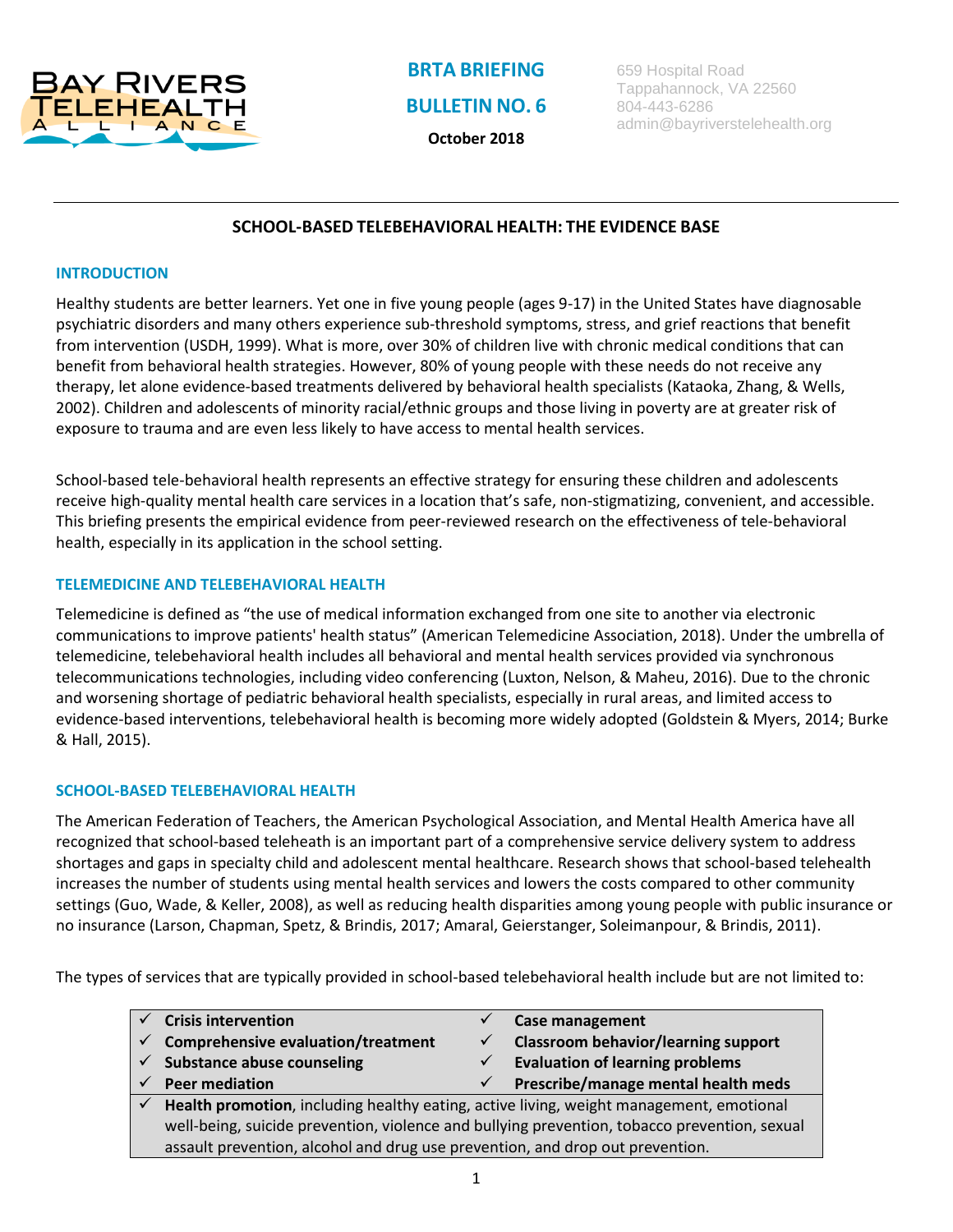

**BRTA BRIEFING BULLETIN NO. 6**

**October 2018**

659 Hospital Road Tappahannock, VA 22560 804-443-6286 admin@bayriverstelehealth.org

# **SCHOOL-BASED TELEBEHAVIORAL HEALTH: THE EVIDENCE BASE**

### **INTRODUCTION**

Healthy students are better learners. Yet one in five young people (ages 9-17) in the United States have diagnosable psychiatric disorders and many others experience sub-threshold symptoms, stress, and grief reactions that benefit from intervention (USDH, 1999). What is more, over 30% of children live with chronic medical conditions that can benefit from behavioral health strategies. However, 80% of young people with these needs do not receive any therapy, let alone evidence-based treatments delivered by behavioral health specialists (Kataoka, Zhang, & Wells, 2002). Children and adolescents of minority racial/ethnic groups and those living in poverty are at greater risk of exposure to trauma and are even less likely to have access to mental health services.

School-based tele-behavioral health represents an effective strategy for ensuring these children and adolescents receive high-quality mental health care services in a location that's safe, non-stigmatizing, convenient, and accessible. This briefing presents the empirical evidence from peer-reviewed research on the effectiveness of tele-behavioral health, especially in its application in the school setting.

## **TELEMEDICINE AND TELEBEHAVIORAL HEALTH**

Telemedicine is defined as "the use of medical information exchanged from one site to another via electronic communications to improve patients' health status" (American Telemedicine Association, 2018). Under the umbrella of telemedicine, telebehavioral health includes all behavioral and mental health services provided via synchronous telecommunications technologies, including video conferencing (Luxton, Nelson, & Maheu, 2016). Due to the chronic and worsening shortage of pediatric behavioral health specialists, especially in rural areas, and limited access to evidence-based interventions, telebehavioral health is becoming more widely adopted (Goldstein & Myers, 2014; Burke & Hall, 2015).

#### **SCHOOL-BASED TELEBEHAVIORAL HEALTH**

The American Federation of Teachers, the American Psychological Association, and Mental Health America have all recognized that school-based teleheath is an important part of a comprehensive service delivery system to address shortages and gaps in specialty child and adolescent mental healthcare. Research shows that school-based telehealth increases the number of students using mental health services and lowers the costs compared to other community settings (Guo, Wade, & Keller, 2008), as well as reducing health disparities among young people with public insurance or no insurance (Larson, Chapman, Spetz, & Brindis, 2017; Amaral, Geierstanger, Soleimanpour, & Brindis, 2011).

The types of services that are typically provided in school-based telebehavioral health include but are not limited to:

| <b>Crisis intervention</b>                                                                   |              | <b>Case management</b>                     |
|----------------------------------------------------------------------------------------------|--------------|--------------------------------------------|
| $\checkmark$ Comprehensive evaluation/treatment                                              | $\checkmark$ | <b>Classroom behavior/learning support</b> |
| $\checkmark$ Substance abuse counseling                                                      |              | <b>Evaluation of learning problems</b>     |
| <b>Peer mediation</b>                                                                        | $\checkmark$ | Prescribe/manage mental health meds        |
| Health promotion, including healthy eating, active living, weight management, emotional      |              |                                            |
| well-being, suicide prevention, violence and bullying prevention, tobacco prevention, sexual |              |                                            |
| assault prevention, alcohol and drug use prevention, and drop out prevention.                |              |                                            |